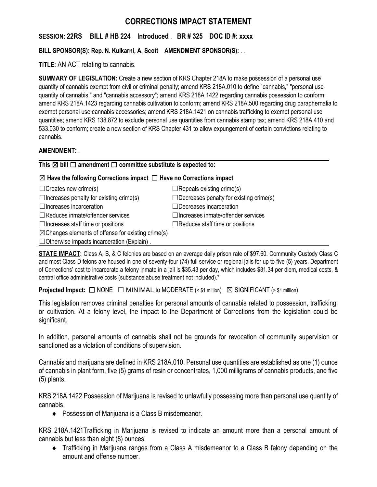# **CORRECTIONS IMPACT STATEMENT**

**SESSION: 22RS BILL # HB 224 Introduced** . **BR # 325 DOC ID #: xxxx**

**BILL SPONSOR(S): Rep. N. Kulkarni, A. Scott AMENDMENT SPONSOR(S):** . .

**TITLE:** AN ACT relating to cannabis.

**SUMMARY OF LEGISLATION:** Create a new section of KRS Chapter 218A to make possession of a personal use quantity of cannabis exempt from civil or criminal penalty; amend KRS 218A.010 to define "cannabis," "personal use quantity of cannabis," and "cannabis accessory"; amend KRS 218A.1422 regarding cannabis possession to conform; amend KRS 218A.1423 regarding cannabis cultivation to conform; amend KRS 218A.500 regarding drug paraphernalia to exempt personal use cannabis accessories; amend KRS 218A.1421 on cannabis trafficking to exempt personal use quantities; amend KRS 138.872 to exclude personal use quantities from cannabis stamp tax; amend KRS 218A.410 and 533.030 to conform; create a new section of KRS Chapter 431 to allow expungement of certain convictions relating to cannabis.

## **AMENDMENT:** .

**This** ☒ **bill** ☐ **amendment** ☐ **committee substitute is expected to:**

## ☒ **Have the following Corrections impact** ☐ **Have no Corrections impact**

| $\Box$ Creates new crime(s)                                   | $\Box$ Repeals existing crime(s)               |
|---------------------------------------------------------------|------------------------------------------------|
| $\Box$ Increases penalty for existing crime(s)                | $\Box$ Decreases penalty for existing crime(s) |
| $\Box$ Increases incarceration                                | $\Box$ Decreases incarceration                 |
| $\Box$ Reduces inmate/offender services                       | $\Box$ Increases inmate/offender services      |
| $\Box$ Increases staff time or positions                      | $\Box$ Reduces staff time or positions         |
| $\boxtimes$ Changes elements of offense for existing crime(s) |                                                |
| $\Box$ Otherwise impacts incarceration (Explain).             |                                                |

**STATE IMPACT:** Class A, B, & C felonies are based on an average daily prison rate of \$97.60. Community Custody Class C and most Class D felons are housed in one of seventy-four (74) full service or regional jails for up to five (5) years. Department of Corrections' cost to incarcerate a felony inmate in a jail is \$35.43 per day, which includes \$31.34 per diem, medical costs, & central office administrative costs (substance abuse treatment not included).\*

**Projected Impact:**  $\Box$  NONE  $\Box$  MINIMAL to MODERATE (< \$1 million)  $\boxtimes$  SIGNIFICANT (> \$1 million)

This legislation removes criminal penalties for personal amounts of cannabis related to possession, trafficking, or cultivation. At a felony level, the impact to the Department of Corrections from the legislation could be significant.

In addition, personal amounts of cannabis shall not be grounds for revocation of community supervision or sanctioned as a violation of conditions of supervision.

Cannabis and marijuana are defined in KRS 218A.010. Personal use quantities are established as one (1) ounce of cannabis in plant form, five (5) grams of resin or concentrates, 1,000 milligrams of cannabis products, and five (5) plants.

KRS 218A.1422 Possession of Marijuana is revised to unlawfully possessing more than personal use quantity of cannabis.

◆ Possession of Marijuana is a Class B misdemeanor.

KRS 218A.1421Trafficking in Marijuana is revised to indicate an amount more than a personal amount of cannabis but less than eight (8) ounces.

 Trafficking in Marijuana ranges from a Class A misdemeanor to a Class B felony depending on the amount and offense number.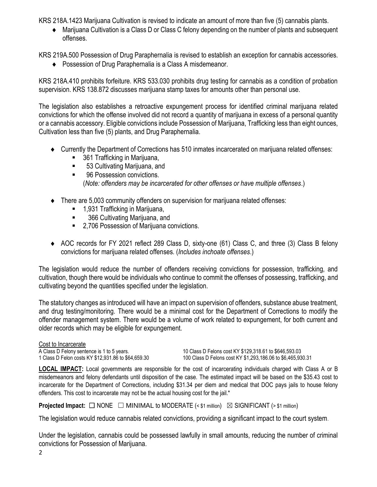KRS 218A.1423 Marijuana Cultivation is revised to indicate an amount of more than five (5) cannabis plants.

 Marijuana Cultivation is a Class D or Class C felony depending on the number of plants and subsequent offenses.

KRS 219A.500 Possession of Drug Paraphernalia is revised to establish an exception for cannabis accessories.

Possession of Drug Paraphernalia is a Class A misdemeanor.

KRS 218A.410 prohibits forfeiture. KRS 533.030 prohibits drug testing for cannabis as a condition of probation supervision. KRS 138.872 discusses marijuana stamp taxes for amounts other than personal use.

The legislation also establishes a retroactive expungement process for identified criminal marijuana related convictions for which the offense involved did not record a quantity of marijuana in excess of a personal quantity or a cannabis accessory. Eligible convictions include Possession of Marijuana, Trafficking less than eight ounces, Cultivation less than five (5) plants, and Drug Paraphernalia.

- Currently the Department of Corrections has 510 inmates incarcerated on marijuana related offenses:
	- 361 Trafficking in Marijuana,
	- 53 Cultivating Marijuana, and
	- 96 Possession convictions. (*Note: offenders may be incarcerated for other offenses or have multiple offenses*.)
- There are 5,003 community offenders on supervision for marijuana related offenses:
	- 1,931 Trafficking in Marijuana,
	- 366 Cultivating Marijuana, and
	- 2,706 Possession of Marijuana convictions.
- AOC records for FY 2021 reflect 289 Class D, sixty-one (61) Class C, and three (3) Class B felony convictions for marijuana related offenses. (*Includes inchoate offenses*.)

The legislation would reduce the number of offenders receiving convictions for possession, trafficking, and cultivation, though there would be individuals who continue to commit the offenses of possessing, trafficking, and cultivating beyond the quantities specified under the legislation.

The statutory changes as introduced will have an impact on supervision of offenders, substance abuse treatment, and drug testing/monitoring. There would be a minimal cost for the Department of Corrections to modify the offender management system. There would be a volume of work related to expungement, for both current and older records which may be eligible for expungement.

Cost to Incarcerate<br>A Class D Felony sentence is 1 to 5 years.

10 Class D Felons cost KY \$129,318.61 to \$646,593.03 1 Class D Felon costs KY \$12,931.86 to \$64,659.30 100 Class D Felons cost KY \$1,293,186.06 to \$6,465,930.31

**LOCAL IMPACT:** Local governments are responsible for the cost of incarcerating individuals charged with Class A or B misdemeanors and felony defendants until disposition of the case. The estimated impact will be based on the \$35.43 cost to incarcerate for the Department of Corrections, including \$31.34 per diem and medical that DOC pays jails to house felony offenders. This cost to incarcerate may not be the actual housing cost for the jail.\*

**Projected Impact:**  $\Box$  NONE  $\Box$  MINIMAL to MODERATE (< \$1 million)  $\boxtimes$  SIGNIFICANT (> \$1 million)

The legislation would reduce cannabis related convictions, providing a significant impact to the court system.

Under the legislation, cannabis could be possessed lawfully in small amounts, reducing the number of criminal convictions for Possession of Marijuana.